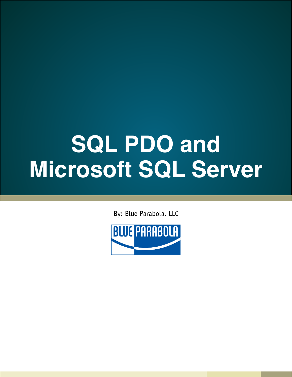### **SQL PDO and Microsoft SQL Server**

By: Blue Parabola, LLC

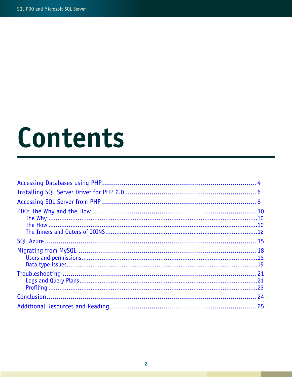### Contents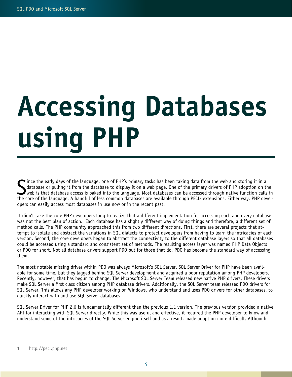# <span id="page-3-0"></span>Accessing Databases using PHP

Since the early days of the language, one of PHP's primary tasks has been taking data from the web and storing it in a<br>database or pulling it from the database to display it on a web page. One of the primary drivers of PHP ince the early days of the language, one of PHP's primary tasks has been taking data from the web and storing it in a database or pulling it from the database to display it on a web page. One of the primary drivers of PHP adoption on the web is that database access is baked into the language. Most databases can be accessed through native function calls in opers can easily access most databases in use now or in the recent past.

It didn't take the core PHP developers long to realize that a different implementation for accessing each and every database was not the best plan of action. Each database has a slightly different way of doing things and therefore, a different set of method calls. The PHP community approached this from two different directions. First, there are several projects that attempt to isolate and abstract the variations in SQL dialects to protect developers from having to learn the intricacies of each version. Second, the core developers began to abstract the connectivity to the different database layers so that all databases could be accessed using a standard and consistent set of methods. The resulting access layer was named PHP Data Objects or PDO for short. Not all database drivers support PDO but for those that do, PDO has become the standard way of accessing them.

The most notable missing driver within PDO was always Microsoft's SQL Server. SQL Server Driver for PHP have been available for some time, but they lagged behind SQL Server development and acquired a poor reputation among PHP developers. Recently, however, that has begun to change. The Microsoft SQL Server Team released new native PHP drivers. These drivers make SQL Server a first class citizen among PHP database drivers. Additionally, the SQL Server team released PDO drivers for SQL Server. This allows any PHP developer working on Windows, who understand and uses PDO drivers for other databases, to quickly interact with and use SQL Server databases.

SQL Server Driver for PHP 2.0 is fundamentally different than the previous 1.1 version. The previous version provided a native API for interacting with SQL Server directly. While this was useful and effective, it required the PHP developer to know and understand some of the intricacies of the SQL Server engine itself and as a result, made adoption more difficult. Although

<sup>1</sup> http://pecl.php.net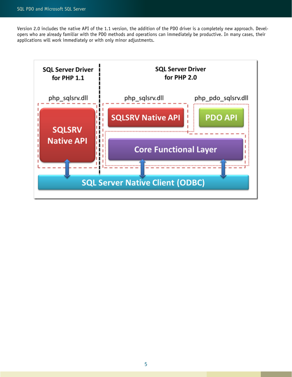Version 2.0 includes the native API of the 1.1 version, the addition of the PDO driver is a completely new approach. Developers who are already familiar with the PDO methods and operations can immediately be productive. In many cases, their applications will work immediately or with only minor adjustments.

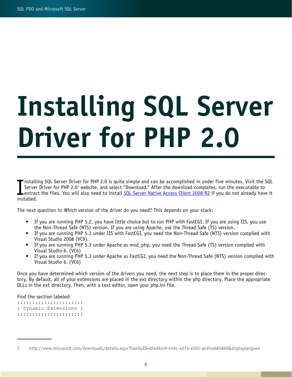# <span id="page-5-0"></span>Installing SQL Server Driver for PHP 2.0

I nstalli<br>Server<br>installed. <code>•</code> <code>nstalling SQL Server Driver for PHP 2.0 is quite simple and can be accomplished in under five minutes. Visit the SQL</code> Server Driver for PHP 2.0<sup>2</sup> website, and select "Download." After the download completes, run the executable to extract the files. You will also need to install [SQL Server Native Access Client 2008 R2](http://www.google.com/url?q=http%3A%2F%2Fwww.microsoft.com%2Fsqlserver%2F2008%2Fen%2Fus%2Fnative-data-access.aspx&sa=D&sntz=1&usg=AFQjCNGH20sGS-HHjCUM28xKLTZz7M_zQg) if you do not already have it

The next question is: Which version of the driver do you need? This depends on your stack:

- If you are running PHP 5.2, you have little choice but to run PHP with FastCGI. If you are using IIS, you use the Non-Thread Safe (NTS) version. If you are using Apache, use the Thread Safe (TS) version.
- If you are running PHP 5.3 under IIS with FastCGI, you need the Non-Thread Safe (NTS) version compiled with Visual Studio 2008 (VC9).
- If you are running PHP 5.3 under Apache as mod\_php, you need the Thread Safe (TS) version compiled with Visual Studio 6. (VC6)
- • If you are running PHP 5.3 under Apache as FastCGI, you need the Non-Thread Safe (NTS) version compiled with Visual Studio 6. (VC6)

Once you have determined which version of the drivers you need, the next step is to place them in the proper directory. By default, all of your extensions are placed in the ext directory within the php directory. Place the appropriate DLLs in the ext directory. Then, with a text editor, open your php.ini file.

Find the section labeled:

;;;;;;;;;;;;;;;;;;;;;; ; Dynamic Extensions ; ;;;;;;;;;;;;;;;;;;;;;;

<sup>2</sup> http://www.microsoft.com/downloads/details.aspx?FamilyID=df4d9cc9-459c-4d75-a503-ae3fceb85860&displaylang=en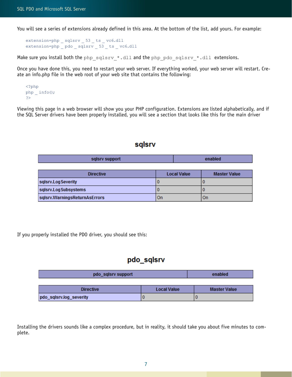You will see a series of extensions already defined in this area. At the bottom of the list, add yours. For example:

```
extension=php _ sqlsrv _ 53 _ ts _ vc6.dll
extension=php _ pdo _ sqlsrv _ 53 _ ts _ vc6.dll
```
Make sure you install both the php\_sqlsrv\_\*.dll and the php\_pdo\_sqlsrv\_\*.dll extensions.

Once you have done this, you need to restart your web server. If everything worked, your web server will restart. Create an info.php file in the web root of your web site that contains the following:

```
<?php
php _ info();
?>
```
Viewing this page in a web browser will show you your PHP configuration. Extensions are listed alphabetically, and if the SQL Server drivers have been properly installed, you will see a section that looks like this for the main driver

#### sqlsrv

| sqlsrv support | anahla." |
|----------------|----------|
|                |          |

| <b>Directive</b>              | <b>Local Value</b> | <b>Master Value</b> |
|-------------------------------|--------------------|---------------------|
| sqlsrv.LogSeverity            |                    |                     |
| sqlsrv.LogSubsystems          |                    |                     |
| sqlsrv.WarningsReturnAsErrors | On                 | On                  |

If you properly installed the PDO driver, you should see this:

### pdo sqlsrv

| pdo_sqlsrv support      |                    | enabled             |
|-------------------------|--------------------|---------------------|
|                         |                    |                     |
| <b>Directive</b>        | <b>Local Value</b> | <b>Master Value</b> |
| pdo_sqlsrv.log_severity |                    |                     |

Installing the drivers sounds like a complex procedure, but in reality, it should take you about five minutes to complete.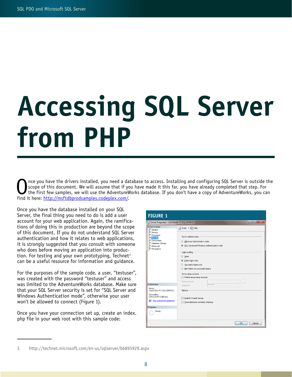# <span id="page-7-0"></span>Accessing SQL Server from PHP

nce you have the drivers installed, you need a database to access. Installing and configuring SQL Server is outside the scope of this document. We will assume that if you have made it this far, you have already completed that step. For the first few samples, we will use the AdventureWorks database. If you don't have a copy of AdventureWorks, you can find it here: [http://msftdbprodsamples.codeplex.com/](http://www.google.com/url?q=http%3A%2F%2Fmsftdbprodsamples.codeplex.com%2F&sa=D&sntz=1&usg=AFQjCNG-UnDqTdYS8H2L4s2ZHAz8RkXF5w).

Once you have the database installed on your SQL Server, the final thing you need to do is add a user account for your web application. Again, the ramifications of doing this in production are beyond the scope of this document. If you do not understand SQL Server authentication and how it relates to web applications, it is strongly suggested that you consult with someone who does before moving an application into production. For testing and your own prototyping, Technet<sup>3</sup> can be a useful resource for information and guidance.

For the purposes of the sample code, a user, "testuser", was created with the password "testuser" and access was limited to the AdventureWorks database. Make sure that your SQL Server security is set for "SQL Server and Windows Authentication mode", otherwise your user won't be allowed to connect (Figure 1).

Once you have your connection set up, create an index. php file in your web root with this sample code:

| <b>FIGURE 1</b>                                                                                                             |                                                                                                                                                                                                                                                                                                                                                                                                                                                         |
|-----------------------------------------------------------------------------------------------------------------------------|---------------------------------------------------------------------------------------------------------------------------------------------------------------------------------------------------------------------------------------------------------------------------------------------------------------------------------------------------------------------------------------------------------------------------------------------------------|
| Server Properties - CALEVANS-PC\SQLEXPRESS                                                                                  | $\begin{array}{c c c c} \hline \multicolumn{1}{c }{\textbf{1}} & \multicolumn{1}{c }{\textbf{2}} & \multicolumn{1}{c }{\textbf{3}} & \multicolumn{1}{c }{\textbf{4}} & \multicolumn{1}{c }{\textbf{5}} & \multicolumn{1}{c }{\textbf{6}} & \multicolumn{1}{c }{\textbf{7}} & \multicolumn{1}{c }{\textbf{8}} & \multicolumn{1}{c }{\textbf{9}} & \multicolumn{1}{c }{\textbf{1}} & \multicolumn{1}{c }{\textbf{1}} & \multicolumn{1}{c }{\textbf{1}} &$ |
| Select a page<br>General<br>Memory<br>Processors<br>Security<br>Connections<br>Database Settings<br>Advanced<br>Permissions | Script v B Help<br>Server authentication<br>Mindows Authentication mode<br>SQL Server and Windows Authentication mode<br>Login auditing<br><b>None</b><br>So Failed logins only<br>Successful logins only<br><b>Both failed and successful logins</b><br>Server proxy account<br>Enable server proxy account<br>Proxy account:<br>i.                                                                                                                    |
| <b>Connection</b>                                                                                                           | **********<br>Password:                                                                                                                                                                                                                                                                                                                                                                                                                                 |
| Server:<br>CALEVANS-PC\SQLEXPRESS<br>Connection:<br>CalEvans-PC\CalEvans<br>Wew connection properties                       | Options<br>Enable C2 audit tracing<br>Cross database ownership chaining                                                                                                                                                                                                                                                                                                                                                                                 |
| <b>Progress</b>                                                                                                             |                                                                                                                                                                                                                                                                                                                                                                                                                                                         |
| Ready                                                                                                                       |                                                                                                                                                                                                                                                                                                                                                                                                                                                         |
|                                                                                                                             | OK<br>Cancel                                                                                                                                                                                                                                                                                                                                                                                                                                            |

<sup>3</sup> http://technet.microsoft.com/en-us/sqlserver/bb895929.aspx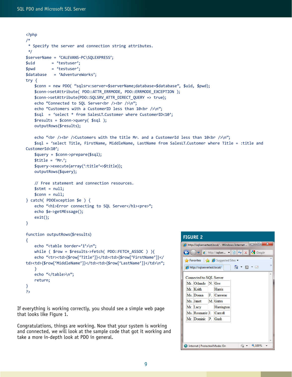```
<?php
/*
  * Specify the server and connection string attributes.
  */
$serverName = 'CALEVANS-PC\SQLEXPRESS';
$uid = 'testuser';
$pwd = 'testuser';
$database = 'AdventureWorks';
try {
   $conn = new PDO( "sqlsrv:server=$serverName;database=$database", $uid, $pwd);
   $conn->setAttribute( PDO::ATTR_ERRMODE, PDO::ERRMODE_EXCEPTION );
   $conn->setAttribute(PDO::SQLSRV_ATTR_DIRECT_QUERY => true);
   echo "Connected to SQL Server<br />>>>>><br />>>>>>
   echo "Customers with a CustomerID less than 10 kbr /\lambdan";
   $sql = 'select * from SalesLT.Customer where CustomerID<10';
   $results = $conn->query( $sql );
   outputRows($results);
   echo "<br />>>>>><br />>>>>>Customers with the title Mr. and a CustomerId less than 10<br />>>>>>
   $sql = 'select Title, FirstName, MiddleName, LastName from SalesLT.Customer where Title = :title and 
CustomerId<10';
   $query = $conn->prepare($sql);
   $title = 'Mr.';
   $query->execute(array(':title'=>$title));
   outputRows($query);
    // Free statement and connection resources.
   $stmt = null;$conn = null;} catch( PDOException $e ) {
   echo "<h1>Error connecting to SQL Server</h1><pre>";
    echo $e->getMEssage();
    exit();
}
function outputRows($results)
{
   echo "<table border='1'>\n";
   while ( $row = $results->fetch( PDO::FETCH_ASSOC ) ){
   echo "<tr><td>{$row['Title']}</td><td>{$row['FirstName']}</
td><td>{$row['MiddleName']}</td><td>{$row['LastName']}</td>\n";
   }
   echo "</table>\n";
   return;
}
?>
                                                                       FIGURE 2
```
If everything is working correctly, you should see a simple web page that looks like Figure 1.

Congratulations, things are working. Now that your system is working and connected, we will look at the sample code that got it working and take a more in-depth look at PDO in general.

| $\mathbf{x}$<br>▣<br>http://sqlservertest.local/ - Windows Internet                        |                                                                        |      |                                |  |  |   |  |    |
|--------------------------------------------------------------------------------------------|------------------------------------------------------------------------|------|--------------------------------|--|--|---|--|----|
| $\times \mathbb{R}$ Google<br>$\triangledown$ <b>e</b> http://sqlser $\triangledown$<br>网→ |                                                                        |      |                                |  |  |   |  |    |
|                                                                                            |                                                                        |      | Suggested Sites ▼ Pravorites → |  |  |   |  | >> |
|                                                                                            | $\gg$<br>G.<br>$\star$ 2 $\star$ $\Box$<br>http://sqlservertest.local/ |      |                                |  |  |   |  |    |
|                                                                                            | Connected to SQL Server                                                |      |                                |  |  | × |  |    |
|                                                                                            | Mr. Orlando N. Gee                                                     |      |                                |  |  |   |  |    |
|                                                                                            | Mr. Keith                                                              |      | Harris                         |  |  |   |  |    |
|                                                                                            | Ms. Donna                                                              | F. I | Carreras                       |  |  |   |  |    |
|                                                                                            | Ms. Janet                                                              |      | M. Gates                       |  |  |   |  |    |
|                                                                                            | Mr. Lucy                                                               |      | Harrington                     |  |  |   |  |    |
|                                                                                            | Ms. Rosmarie J.                                                        |      | Carroll                        |  |  |   |  |    |
|                                                                                            | Mr. Dominic P. Gash                                                    |      |                                |  |  |   |  |    |
|                                                                                            |                                                                        |      |                                |  |  |   |  |    |
|                                                                                            |                                                                        |      |                                |  |  |   |  |    |
|                                                                                            |                                                                        |      |                                |  |  |   |  |    |
| 0.100%<br>Internet   Protected Mode: On                                                    |                                                                        |      |                                |  |  |   |  |    |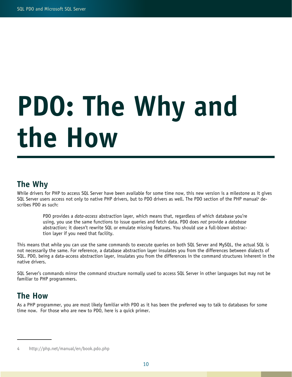# <span id="page-9-0"></span>PDO: The Why and the How

### The Why

While drivers for PHP to access SQL Server have been available for some time now, this new version is a milestone as it gives SQL Server users access not only to native PHP drivers, but to PDO drivers as well. The PDO section of the PHP manual<sup>4</sup> describes PDO as such:

> PDO provides a *data-access* abstraction layer, which means that, regardless of which database you're using, you use the same functions to issue queries and fetch data. PDO does not provide a database abstraction; it doesn't rewrite SQL or emulate missing features. You should use a full-blown abstraction layer if you need that facility.

This means that while you can use the same commands to execute queries on both SQL Server and MySQL, the actual SQL is not necessarily the same. For reference, a database abstraction layer insulates you from the differences between dialects of SQL. PDO, being a data-access abstraction layer, insulates you from the differences in the command structures inherent in the native drivers.

SQL Server's commands mirror the command structure normally used to access SQL Server in other languages but may not be familiar to PHP programmers.

### The How

As a PHP programmer, you are most likely familiar with PDO as it has been the preferred way to talk to databases for some time now. For those who are new to PDO, here is a quick primer.

<sup>4</sup> http://php.net/manual/en/book.pdo.php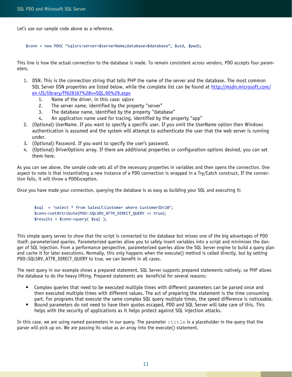Let's use our sample code above as a reference.

\$conn = new PDO( "sqlsrv:server=\$serverName;database=\$database", \$uid, \$pwd);

This line is how the actual connection to the database is made. To remain consistent across vendors, PDO accepts four parameters.

- 1. DSN. This is the connection string that tells PHP the name of the server and the database. The most common SQL Server DSN properties are listed below, while the complete list can be found at [http://msdn.microsoft.com/](http://www.google.com/url?q=http%3A%2F%2Fmsdn.microsoft.com%2Fen-US%2Flibrary%2Fff628167%2528v%3DSQL.90%2529.aspx&sa=D&sntz=1&usg=AFQjCNFV3TViI6PSlibhale328W3UZjLhQ) [en-US/library/ff628167%28v=SQL.90%29.aspx](http://www.google.com/url?q=http%3A%2F%2Fmsdn.microsoft.com%2Fen-US%2Flibrary%2Fff628167%2528v%3DSQL.90%2529.aspx&sa=D&sntz=1&usg=AFQjCNFV3TViI6PSlibhale328W3UZjLhQ)
	- 1. Name of the driver, in this case: sqlsrv
	- 2. The server name, identified by the property "server"
	- 3. The database name, identified by the property "database"
	- 4. An application name used for tracing, identified by the property "app"
- 2. (Optional) UserName. If you want to specify a specific user. If you omit the UserName option then Windows authentication is assumed and the system will attempt to authenticate the user that the web server is running under.
- 3. (Optional) Password. If you want to specify the user's password.
- 4. (Optional) DriverOptions array. If there are additional properties or configuration options desired, you can set them here.

As you can see above, the sample code sets all of the necessary properties in variables and then opens the connection. One aspect to note is that instantiating a new instance of a PDO connection is wrapped in a Try/Catch construct. If the connection fails, it will throw a PDOException.

Once you have made your connection, querying the database is as easy as building your SQL and executing it:

```
$sql = 'select * from SalesLT.Customer where CustomerID<10';
$conn->setAttribute(PDO::SQLSRV_ATTR_DIRECT_QUERY => true);
$results = $conn->query( $sql );
```
This simple query serves to show that the script is connected to the database but misses one of the big advantages of PDO itself: parameterized queries. Parameterized queries allow you to safely insert variables into a script and minimizes the danger of SQL injection. From a performance perspective, parameterized queries allow the SQL Server engine to build a query plan and cache it for later executions. Normally, this only happens when the execute() method is called directly, but by setting PDO::SQLSRV\_ATTR\_DIRECT\_QUERY to true, we can benefit in all cases.

The next query in our example shows a prepared statement. SQL Server supports prepared statements natively, so PHP allows the database to do the heavy lifting. Prepared statements are beneficial for several reasons:

- Complex queries that need to be executed multiple times with different parameters can be parsed once and then executed multiple times with different values. The act of preparing the statement is the time consuming part. For programs that execute the same complex SQL query multiple times, the speed difference is noticeable.
- • Bound parameters do not need to have their quotes escaped, PDO and SQL Server will take care of this. This helps with the security of applications as it helps protect against SQL injection attacks.

In this case, we are using named parameters in our query. The parameter  $:$  title is a placeholder in the query that the parser will pick up on. We are passing its value as an array into the execute() statement.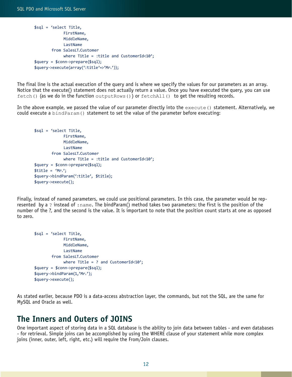```
$sql = 'select Title, 
               FirstName, 
               MiddleName, 
               LastName 
         from SalesLT.Customer 
              where Title = : title and CustomerId<10';
$query = $conn->prepare($sql);
$query->execute(array(':title'=>'Mr.'));
```
The final line is the actual execution of the query and is where we specify the values for our parameters as an array. Notice that the execute() statement does not actually return a value. Once you have executed the query, you can use fetch() (as we do in the function outputRows()) or fetchAll() to get the resulting records.

In the above example, we passed the value of our parameter directly into the  $\alpha$  execute() statement. Alternatively, we could execute a bindParam() statement to set the value of the parameter before executing:

```
$sql = 'select Title, 
              FirstName, 
              MiddleName, 
              LastName 
         from SalesLT.Customer 
              where Title = :title and CustomerId<10';
$query = $conn->prepare($sql);
$title = 'Mr.';
$query->bindParam(':title', $title);
$query->execute();
```
Finally, instead of named parameters, we could use positional parameters. In this case, the parameter would be represented by a ? instead of :name. The bindParam() method takes two parameters: the first is the position of the number of the ?, and the second is the value. It is important to note that the position count starts at one as opposed to zero.

```
$sql = 'select Title, 
              FirstName, 
              MiddleName, 
              LastName 
         from SalesLT.Customer 
             where Title = ? and CustomerId<10';
$query = $conn->prepare($sql);
$query->bindParam(1,'Mr.');
$query->execute();
```
As stated earlier, because PDO is a data-access abstraction layer, the commands, but not the SQL, are the same for MySQL and Oracle as well.

#### The Inners and Outers of JOINS

One important aspect of storing data in a SQL database is the ability to join data between tables - and even databases - for retrieval. Simple joins can be accomplished by using the WHERE clause of your statement while more complex joins (inner, outer, left, right, etc.) will require the From/Join clauses.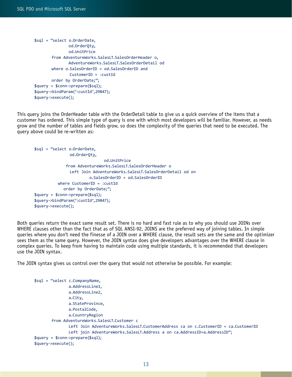```
$sql = "select o.OrderDate,
                od.OrderQty,
                od.UnitPrice
         from AdventureWorks.SalesLT.SalesOrderHeader o,
                AdventureWorks.SalesLT.SalesOrderDetail od
        where o.SalesOrderID = od.SalesOrderID and
                CustomerID = :custId order by OrderDate;";
$query = $conn->prepare($sql);
$query->bindParam(':custId',29847);
$query->execute();
```
This query joins the OrderHeader table with the OrderDetail table to give us a quick overview of the items that a customer has ordered. This simple type of query is one with which most developers will be familiar. However, as needs grow and the number of tables and fields grow, so does the complexity of the queries that need to be executed. The query above could be re-written as:

```
$sql = "select o.OrderDate,
                od.OrderQty,
                                od.UnitPrice
               from AdventureWorks.SalesLT.SalesOrderHeader o
                 Left Join AdventureWorks.SalesLT.SalesOrderDetail od on 
                          o.SalesOrderID = od.SalesOrderID 
           where CustomerID = :custId
              order by OrderDate;";
$query = $conn->prepare($sql);
$query->bindParam(':custId',29847);
$query->execute();
```
Both queries return the exact same result set. There is no hard and fast rule as to why you should use JOINs over WHERE clauses other than the fact that as of SQL ANSI-92, JOINS are the preferred way of joining tables. In simple queries where you don't need the finesse of a JOIN over a WHERE clause, the result sets are the same and the optimizer sees them as the same query. However, the JOIN syntax does give developers advantages over the WHERE clause in complex queries. To keep from having to maintain code using multiple standards, it is recommended that developers use the JOIN syntax.

The JOIN syntax gives us control over the query that would not otherwise be possible. For example:

```
$sql = "select c.CompanyName,
                a.AddressLine1,
                a.AddressLine2,
                a.City,
                a.StateProvince,
                a.PostalCode,
                a.CountryRegion
         from AdventureWorks.SalesLT.Customer c
                Left Join AdventureWorks.SalesLT.CustomerAddress ca on c.CustomerID = ca.CustomerID
               Left join AdventureWorks.SalesLT.Address a on ca.AddressID=a.AddressID";
$query = $conn->prepare($sql);
$query->execute();
```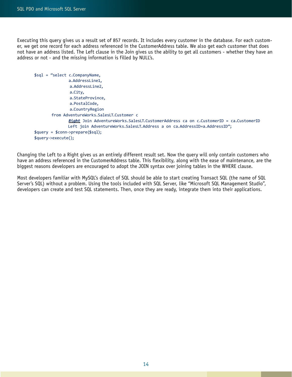Executing this query gives us a result set of 857 records. It includes every customer in the database. For each customer, we get one record for each address referenced in the CustomerAddress table. We also get each customer that does not have an address listed. The Left clause in the Join gives us the ability to get all customers - whether they have an address or not - and the missing information is filled by NULL's.

```
$sql = "select c.CompanyName,
                a.AddressLine1,
                a.AddressLine2,
                a.City,
                 a.StateProvince,
                 a.PostalCode,
                a.CountryRegion
        from AdventureWorks.SalesLT.Customer c
                Right Join AdventureWorks.SalesLT.CustomerAddress ca on c.CustomerID = ca.CustomerID
               Left join AdventureWorks.SalesLT.Address a on ca.AddressID=a.AddressID";
$query = $conn->prepare($sql);
$query->execute();
```
Changing the Left to a Right gives us an entirely different result set. Now the query will only contain customers who have an address referenced in the CustomerAddress table. This flexibility, along with the ease of maintenance, are the biggest reasons developers are encouraged to adopt the JOIN syntax over joining tables in the WHERE clause.

Most developers familiar with MySQL's dialect of SQL should be able to start creating Transact SQL (the name of SQL Server's SQL) without a problem. Using the tools included with SQL Server, like "Microsoft SQL Management Studio", developers can create and test SQL statements. Then, once they are ready, integrate them into their applications.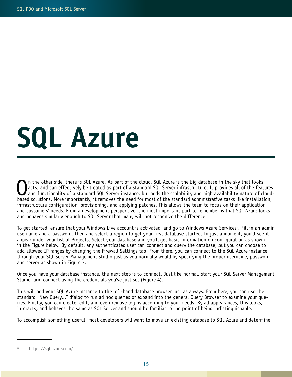## <span id="page-14-0"></span>SQL Azure

The other side, there is SQL Azure. As part of the cloud, SQL Azure is the big database in the sky that looks,<br>and can effectively be treated as part of a standard SQL Server infrastructure. It provides all of the features acts, and can effectively be treated as part of a standard SQL Server infrastructure. It provides all of the features based solutions. More importantly, it removes the need for most of the standard administrative tasks like installation, infrastructure configuration, provisioning, and applying patches. This allows the team to focus on their application and customers' needs. From a development perspective, the most important part to remember is that SQL Azure looks and behaves similarly enough to SQL Server that many will not recognize the difference.

To get started, ensure that your Windows Live account is activated, and go to Windows Azure Services5. Fill in an admin username and a password, then and select a region to get your first database started. In just a moment, you'll see it appear under your list of Projects. Select your database and you'll get basic information on configuration as shown in the Figure below. By default, any authenticated user can connect and query the database, but you can choose to add allowed IP ranges by changing the Firewall Settings tab. From there, you can connect to the SQL Azure instance through your SQL Server Management Studio just as you normally would by specifying the proper username, password, and server as shown in Figure 3.

Once you have your database instance, the next step is to connect. Just like normal, start your SQL Server Management Studio, and connect using the credentials you've just set (Figure 4).

This will add your SQL Azure instance to the left-hand database browser just as always. From here, you can use the standard "New Query..." dialog to run ad hoc queries or expand into the general Query Browser to examine your queries. Finally, you can create, edit, and even remove logins according to your needs. By all appearances, this looks, interacts, and behaves the same as SQL Server and should be familiar to the point of being indistinguishable.

To accomplish something useful, most developers will want to move an existing database to SQL Azure and determine

<sup>5</sup> https://sql.azure.com/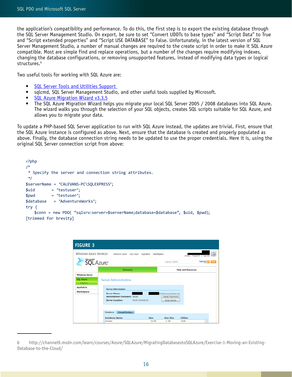the application's compatibility and performance. To do this, the first step is to export the existing database through the SQL Server Management Studio. On export, be sure to set "Convert UDDTs to base types" and "Script Data" to True and "Script extended properties" and "Script USE DATABASE" to False. Unfortunately, in the latest version of SQL Server Management Studio, a number of manual changes are required to the create script in order to make it SQL Azure compatible. Most are simple find and replace operations, but a number of the changes require modifying indexes, changing the database configurations, or removing unsupported features, instead of modifying data types or logical structures.<sup>6</sup>

Two useful tools for working with SQL Azure are:

- SQL Server Tools and Utilities Support
- sqlcmd, SQL Server Management Studio, and other useful tools supplied by Microsoft.
- **[SQL Azure Migration Wizard v3.3.5](http://sqlazuremw.codeplex.com/)**
- The SQL Azure Migration Wizard helps you migrate your local SQL Server 2005 / 2008 databases into SQL Azure. The wizard walks you through the selection of your SQL objects, creates SQL scripts suitable for SQL Azure, and allows you to migrate your data.

To update a PHP-based SQL Server application to run with SQL Azure instead, the updates are trivial. First, ensure that the SQL Azure instance is configured as above. Next, ensure that the database is created and properly populated as above. Finally, the database connection string needs to be updated to use the proper credentials. Here it is, using the original SQL Server connection script from above:

```
<?php
/*
 * Specify the server and connection string attributes.
  */
$serverName = 'CALEVANS-PC\SQLEXPRESS';
$uid = 'testuser';
$pwd = 'testuser';
$database = 'AdventureWorks';
try {
   $conn = new PDO( "sqlsrv:server=$serverName;database=$database", $uid, $pwd);
[trimmed for brevity]
```


<sup>6</sup> http://channel9.msdn.com/learn/courses/Azure/SQLAzure/MigratingDatabasestoSQLAzure/Exercise-1-Moving-an-Existing-Database-to-the-Cloud/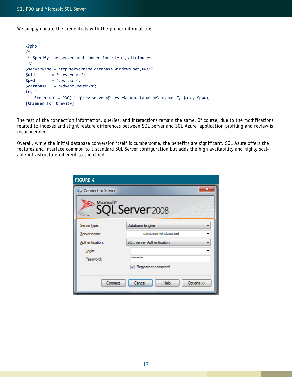We simply update the credentials with the proper information:

```
<?php
/*
 * Specify the server and connection string attributes.
 */
$serverName = 'tcp:servername.database.windows.net,1433';
$uid = 'servername';
$pwd = 'testuser';
$database = 'AdventureWorks';
try {
   $conn = new PDO( "sqlsrv:server=$serverName;database=$database", $uid, $pwd);
[trimmed for brevity]
```
The rest of the connection information, queries, and interactions remain the same. Of course, due to the modifications related to indexes and slight feature differences between SQL Server and SQL Azure, application profiling and review is recommended.

Overall, while the initial database conversion itself is cumbersome, the benefits are significant. SQL Azure offers the features and interface common to a standard SQL Server configuration but adds the high availability and highly scalable infrastructure inherent to the cloud.

| <b>FIGURE 4</b>                           |                                  |  |  |  |  |
|-------------------------------------------|----------------------------------|--|--|--|--|
| Connect to Server                         | Ж                                |  |  |  |  |
| Microsoft <sup>®</sup><br>SQL Server 2008 |                                  |  |  |  |  |
| Server type:                              | Database Engine                  |  |  |  |  |
| Server name:                              | database windows net             |  |  |  |  |
| Authentication:                           | <b>SQL Server Authentication</b> |  |  |  |  |
| Login:                                    |                                  |  |  |  |  |
| Password:                                 |                                  |  |  |  |  |
|                                           | Remember password                |  |  |  |  |
| Connect                                   | Help<br>Options >><br>Cancel     |  |  |  |  |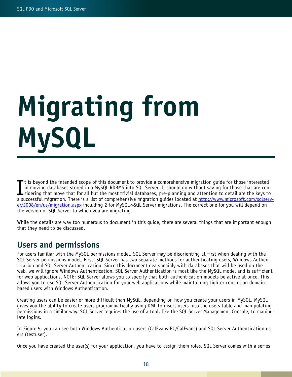# <span id="page-17-0"></span>Migrating from MySQL

It is beyond the intended scope of this document to provide a comprehensive migration guide for those interested<br>in moving databases stored in a MySQL RDBMS into SQL Server. It should go without saying for those that are c t is beyond the intended scope of this document to provide a comprehensive migration guide for those interested in moving databases stored in a MySQL RDBMS into SQL Server. It should go without saying for those that are cona successful migration. There is a list of comprehensive migration guides located at [http://www.microsoft.com/sqlserv](http://www.microsoft.com/sqlserver/2008/en/us/migration.aspx)[er/2008/en/us/migration.aspx](http://www.microsoft.com/sqlserver/2008/en/us/migration.aspx) including 2 for MySQL->SQL Server migrations. The correct one for you will depend on the version of SQL Server to which you are migrating.

While the details are way too numerous to document in this guide, there are several things that are important enough that they need to be discussed.

### Users and permissions

For users familiar with the MySQL permissions model, SQL Server may be disorienting at first when dealing with the SQL Server permissions model. First, SQL Server has two separate methods for authenticating users, Windows Authentication and SQL Server Authentication. Since this document deals mainly with databases that will be used on the web, we will ignore Windows Authentication. SQL Server Authentication is most like the MySQL model and is sufficient for web applications. NOTE: SQL Server allows you to specify that both authentication models be active at once. This allows you to use SQL Server Authentication for your web applications while maintaining tighter control on domainbased users with Windows Authentication.

Creating users can be easier or more difficult than MySQL, depending on how you create your users in MySQL. MySQL gives you the ability to create users programmatically using DML to insert users into the users table and manipulating permissions in a similar way. SQL Server requires the use of a tool, like the SQL Server Management Console, to manipulate logins.

In Figure 5, you can see both Windows Authentication users (CalEvans-PC/CalEvans) and SQL Server Authentication users (testuser).

Once you have created the user(s) for your application, you have to assign them roles. SQL Server comes with a series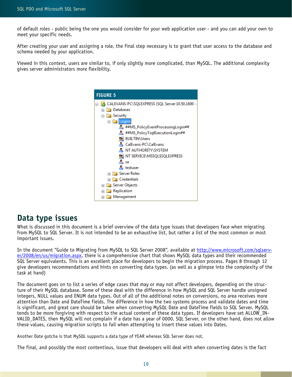<span id="page-18-0"></span>of default roles - public being the one you would consider for your web application user - and you can add your own to meet your specific needs.

After creating your user and assigning a role, the final step necessary is to grant that user access to the database and schema needed by your application.

Viewed in this context, users are similar to, if only slightly more complicated, than MySQL. The additional complexity gives server administrators more flexibility.



### Data type issues

What is discussed in this document is a brief overview of the data type issues that developers face when migrating from MySQL to SQL Server. It is not intended to be an exhaustive list, but rather a list of the most common or most important issues.

In the document "Guide to Migrating from MySQL to SQL Server 2008", available at [http://www.microsoft.com/sqlserv](http://www.google.com/url?q=http%3A%2F%2Fwww.microsoft.com%2Fsqlserver%2F2008%2Fen%2Fus%2Fmigration.aspx&sa=D&sntz=1&usg=AFQjCNHP1WCrX7qsrjYPRITRIa8n-C89AA)[er/2008/en/us/migration.aspx](http://www.google.com/url?q=http%3A%2F%2Fwww.microsoft.com%2Fsqlserver%2F2008%2Fen%2Fus%2Fmigration.aspx&sa=D&sntz=1&usg=AFQjCNHP1WCrX7qsrjYPRITRIa8n-C89AA), there is a comprehensive chart that shows MySQL data types and their recommended SQL Server equivalents. This is an excellent place for developers to begin the migration process. Pages 8 through 12 give developers recommendations and hints on converting data types. (as well as a glimpse into the complexity of the task at hand)

The document goes on to list a series of edge cases that may or may not affect developers, depending on the structure of their MySQL database. Some of these deal with the difference in how MySQL and SQL Server handle unsigned integers, NULL values and ENUM data types. Out of all of the additional notes on conversions, no area receives more attention than Date and DateTime fields. The difference in how the two systems process and validate dates and time is significant, and great care should be taken when converting MySQL Date and DateTime fields to SQL Server. MySQL tends to be more forgiving with respect to the actual content of these data types. If developers have set ALLOW\_IN-VALID\_DATES, then MySQL will not complain if a date has a year of 0000. SQL Server, on the other hand, does not allow these values, causing migration scripts to fail when attempting to insert these values into Dates.

Another Date gotcha is that MySQL supports a data type of YEAR whereas SQL Server does not.

The final, and possibly the most contentious, issue that developers will deal with when converting dates is the fact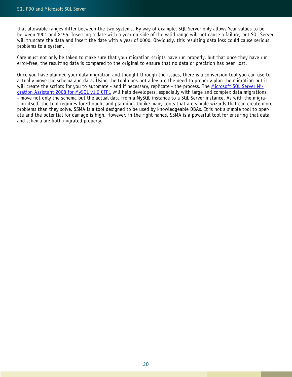that allowable ranges differ between the two systems. By way of example, SQL Server only allows Year values to be between 1901 and 2155. Inserting a date with a year outside of the valid range will not cause a failure, but SQL Server will truncate the data and insert the date with a year of 0000. Obviously, this resulting data loss could cause serious problems to a system.

Care must not only be taken to make sure that your migration scripts have run properly, but that once they have run error-free, the resulting data is compared to the original to ensure that no data or precision has been lost.

Once you have planned your data migration and thought through the issues, there is a conversion tool you can use to actually move the schema and data. Using the tool does not alleviate the need to properly plan the migration but it will create the scripts for you to automate - and if necessary, replicate - the process. The [Microsoft SQL Server Mi](http://www.google.com/url?q=http%3A%2F%2Fwww.microsoft.com%2Fdownloads%2Fdetails.aspx%3FFamilyID%3D0e6168b0-2d0c-4076-96c2-60bd25294a8e%26displaylang%3Den&sa=D&sntz=1&usg=AFQjCNFy2OGzGhMfQE9XXxd4jAaz2ysU-Q)[gration Assistant 2008 for MySQL v1.0 CTP1](http://www.google.com/url?q=http%3A%2F%2Fwww.microsoft.com%2Fdownloads%2Fdetails.aspx%3FFamilyID%3D0e6168b0-2d0c-4076-96c2-60bd25294a8e%26displaylang%3Den&sa=D&sntz=1&usg=AFQjCNFy2OGzGhMfQE9XXxd4jAaz2ysU-Q) will help developers, especially with large and complex data migrations - move not only the schema but the actual data from a MySQL instance to a SQL Server instance. As with the migration itself, the tool requires forethought and planning. Unlike many tools that are simple wizards that can create more problems than they solve, SSMA is a tool designed to be used by knowledgeable DBAs. It is not a simple tool to operate and the potential for damage is high. However, in the right hands, SSMA is a powerful tool for ensuring that data and schema are both migrated properly.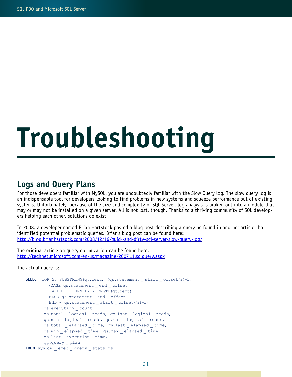# <span id="page-20-0"></span>Troubleshooting

### Logs and Query Plans

For those developers familiar with MySQL, you are undoubtedly familiar with the Slow Query log. The slow query log is an indispensable tool for developers looking to find problems in new systems and squeeze performance out of existing systems. Unfortunately, because of the size and complexity of SQL Server, log analysis is broken out into a module that may or may not be installed on a given server. All is not lost, though. Thanks to a thriving community of SQL developers helping each other, solutions do exist.

In 2008, a developer named Brian Hartstock posted a blog post describing a query he found in another article that identified potential problematic queries. Brian's blog post can be found here: [http://blog.brianhartsock.com/2008/12/16/quick-and-dirty-sql-server-slow-query-log/](http://www.google.com/url?q=http%3A%2F%2Fblog.brianhartsock.com%2F2008%2F12%2F16%2Fquick-and-dirty-sql-server-slow-query-log%2F&sa=D&sntz=1&usg=AFQjCNG9rGR3AgM_KnkpqloBBDwxsZ_ZAg)

The original article on query optimization can be found here: [http://technet.microsoft.com/en-us/magazine/2007.11.sqlquery.aspx](http://www.google.com/url?q=http%3A%2F%2Ftechnet.microsoft.com%2Fen-us%2Fmagazine%2F2007.11.sqlquery.aspx&sa=D&sntz=1&usg=AFQjCNFnCMSfIjf52laPp4tkdSwrPyMerQ)

The actual query is:

```
SELECT TOP 20 SUBSTRING(qt.text, (qs.statement _ start _ offset/2)+1,
         ((CASE qs.statement _ end _ offset
          WHEN -1 THEN DATALENGTH(qt.text)
          ELSE qs.statement _ end _ offset
         END - qs.statement start offset)/2)+1),
        qs.execution _ count, 
        qs.total _ logical _ reads, qs.last _ logical _ reads,
        qs.min _ logical _ reads, qs.max _ logical _ reads,
       qs.total elapsed time, qs.last elapsed time,
        qs.min _ elapsed _ time, qs.max _ elapsed _ time,
        qs.last _ execution _ time,
        qp.query _ plan
FROM sys.dm _ exec _ query _ stats qs
```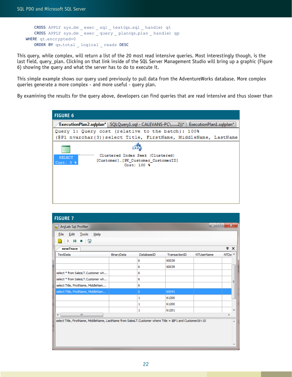```
CROSS APPLY sys.dm _ exec _ sql _ text(qs.sql _ handle) qt
   CROSS APPLY sys.dm _ exec _ query _ plan(qs.plan _ handle) qp
WHERE qt.encrypted=0
   ORDER BY qs.total _ logical _ reads DESC
```
This query, while complex, will return a list of the 20 most read intensive queries. Most interestingly though, is the last field, query\_plan. Clicking on that link inside of the SQL Server Management Studio will bring up a graphic (Figure 6) showing the query and what the server has to do to execute it.

This simple example shows our query used previously to pull data from the AdventureWorks database. More complex queries generate a more complex - and more useful - query plan.

By examining the results for the query above, developers can find queries that are read intensive and thus slower than



| <b>FIGURE 7</b>                                                                                         |            |            |               |                   |                          |          |
|---------------------------------------------------------------------------------------------------------|------------|------------|---------------|-------------------|--------------------------|----------|
| <b>R</b> AnjLab Sql Profiler                                                                            |            |            |               | o o               | $\mathbf{x}$             |          |
| Edit Tools<br>$He$ lp<br>File                                                                           |            |            |               |                   |                          |          |
| - 0<br>ш<br>$\sim$                                                                                      |            |            |               |                   |                          |          |
| newTrace                                                                                                |            |            |               |                   | $\overline{\phantom{a}}$ | $\times$ |
| TextData                                                                                                | BinaryData | DatabaseID | TransactionID | <b>NTUserName</b> | NTDo A                   |          |
|                                                                                                         |            | 6          | 60039         |                   |                          |          |
|                                                                                                         |            | 6          | 60039         |                   |                          |          |
| select * from SalesLT.Customer wh                                                                       |            | 6          |               |                   |                          |          |
| select * from SalesLT.Customer wh                                                                       |            | 6          |               |                   |                          |          |
| select Title, FirstName, MiddleNam                                                                      |            | 6          |               |                   |                          |          |
| select Title, FirstName, MiddleNam                                                                      |            | 6          | 60041         |                   |                          |          |
|                                                                                                         |            | 1          | 61200         |                   |                          |          |
|                                                                                                         |            | 1          | 61200         |                   |                          |          |
|                                                                                                         |            | 1          | 61201         |                   |                          |          |
| $\mathbf{H}$<br>$\blacktriangleleft$                                                                    |            |            |               |                   |                          |          |
| select Title, FirstName, MiddleName, LastName from SalesLT.Customer where Title = @P1 and CustomerId<10 |            |            |               |                   |                          |          |
|                                                                                                         |            |            |               |                   |                          |          |
|                                                                                                         |            |            |               |                   |                          |          |
|                                                                                                         |            |            |               |                   |                          |          |
|                                                                                                         |            |            |               |                   |                          |          |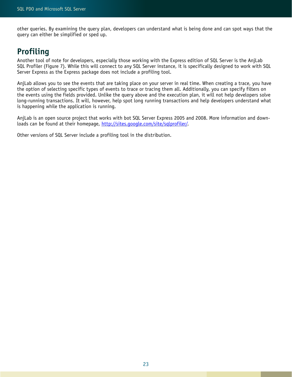<span id="page-22-0"></span>other queries. By examining the query plan, developers can understand what is being done and can spot ways that the query can either be simplified or sped up.

### Profiling

Another tool of note for developers, especially those working with the Express edition of SQL Server is the AnjLab SQL Profiler (Figure 7). While this will connect to any SQL Server instance, it is specifically designed to work with SQL Server Express as the Express package does not include a profiling tool.

AnjLab allows you to see the events that are taking place on your server in real time. When creating a trace, you have the option of selecting specific types of events to trace or tracing them all. Additionally, you can specify filters on the events using the fields provided. Unlike the query above and the execution plan, it will not help developers solve long-running transactions. It will, however, help spot long running transactions and help developers understand what is happening while the application is running.

AnjLab is an open source project that works with bot SQL Server Express 2005 and 2008. More information and downloads can be found at their homepage, [http://sites.google.com/site/sqlprofiler/.](http://sites.google.com/site/sqlprofiler/)

Other versions of SQL Server include a profiling tool in the distribution.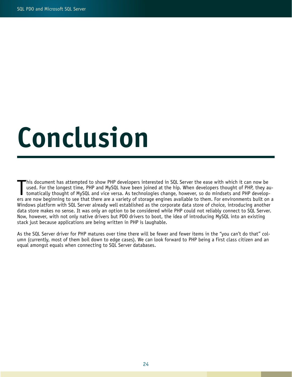### <span id="page-23-0"></span>Conclusion

This document has attempted to show PHP developers interested in SQL Server the ease with which it can now be<br>used. For the longest time, PHP and MySQL have been joined at the hip. When developers thought of PHP, they au-<br> his document has attempted to show PHP developers interested in SQL Server the ease with which it can now be used. For the longest time, PHP and MySQL have been joined at the hip. When developers thought of PHP, they automatically thought of MySQL and vice versa. As technologies change, however, so do mindsets and PHP develop-Windows platform with SQL Server already well established as the corporate data store of choice, introducing another data store makes no sense. It was only an option to be considered while PHP could not reliably connect to SQL Server. Now, however, with not only native drivers but PDO drivers to boot, the idea of introducing MySQL into an existing stack just because applications are being written in PHP is laughable.

As the SQL Server driver for PHP matures over time there will be fewer and fewer items in the "you can't do that" column (currently, most of them boil down to edge cases). We can look forward to PHP being a first class citizen and an equal amongst equals when connecting to SQL Server databases.